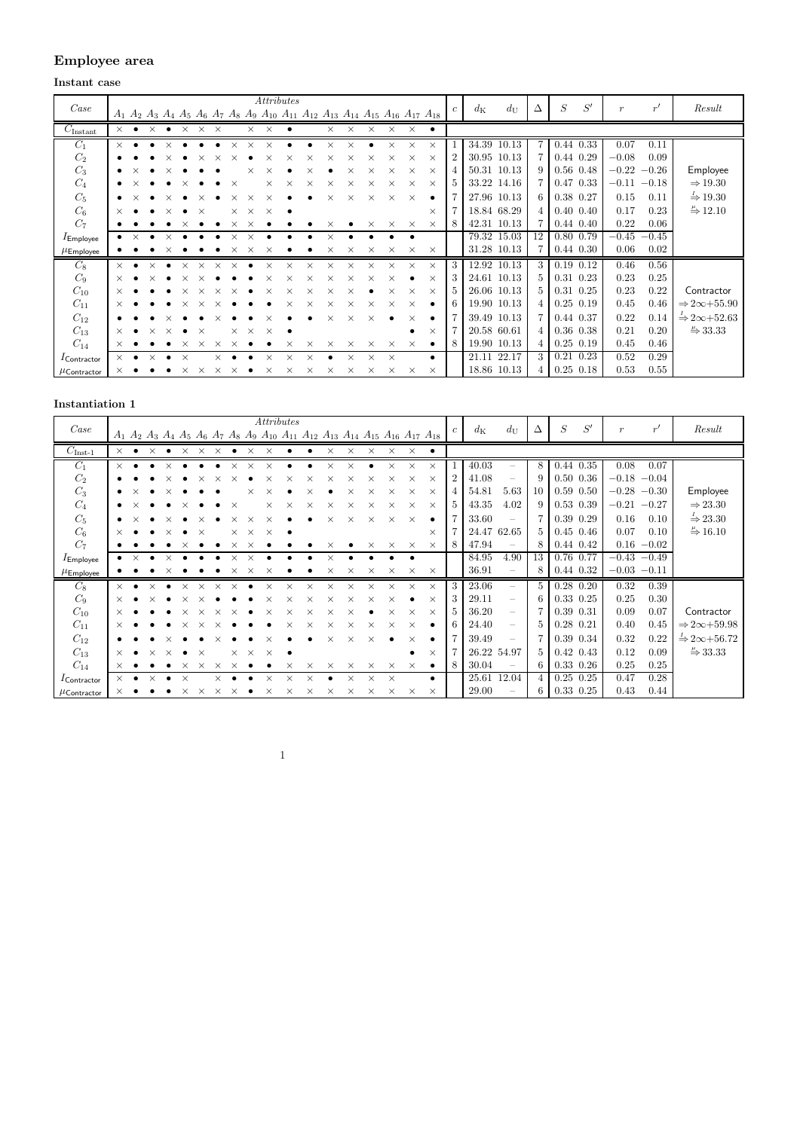# **Employee area**

**Instant case**

|                         |                    |                                                                  |          |          |          |          |          |          | Attributes |          |                                                                                                                                        |          |          |          |          |          |           |                |             |             |                |   | S'            |                |         |                                             |
|-------------------------|--------------------|------------------------------------------------------------------|----------|----------|----------|----------|----------|----------|------------|----------|----------------------------------------------------------------------------------------------------------------------------------------|----------|----------|----------|----------|----------|-----------|----------------|-------------|-------------|----------------|---|---------------|----------------|---------|---------------------------------------------|
| Case                    |                    |                                                                  |          |          |          |          |          |          |            |          | $A_1$ $A_2$ $A_3$ $A_4$ $A_5$ $A_6$ $A_7$ $A_8$ $A_9$ $A_{10}$ $A_{11}$ $A_{12}$ $A_{13}$ $A_{14}$ $A_{15}$ $A_{16}$ $A_{17}$ $A_{18}$ |          |          |          |          |          |           | $\epsilon$     | $d_{\rm K}$ | $d_{\rm U}$ | $\Delta$       | S |               | $\mathcal{r}$  | r'      | Result                                      |
| $C_{\text{Instant}}$    |                    | $\times$ $\bullet$ $\times$ $\bullet$ $\times$ $\times$ $\times$ |          |          |          |          |          | $\times$ | $\times$   |          |                                                                                                                                        | $\times$ | $\times$ | $\times$ | $\times$ | $\times$ | $\bullet$ |                |             |             |                |   |               |                |         |                                             |
| $C_1$                   | $\times$ $\bullet$ | $\bullet$                                                        | $\times$ |          |          |          | $\times$ | $\times$ | $\times$   |          |                                                                                                                                        | $\times$ | $\times$ |          | $\times$ | $\times$ | $\times$  |                |             | 34.39 10.13 | $\overline{7}$ |   | 0.44 0.33     | 0.07           | 0.11    |                                             |
| $C_2$                   |                    |                                                                  |          |          |          | $\times$ |          |          |            |          |                                                                                                                                        | ×        |          |          | $\times$ | $\times$ | $\times$  | $\overline{2}$ |             | 30.95 10.13 |                |   | 0.44 0.29     | $-0.08$        | 0.09    |                                             |
| $C_3$                   |                    |                                                                  |          |          |          |          |          |          |            |          |                                                                                                                                        |          | X        | $\times$ | $\times$ | $\times$ | $\times$  | 4              | 50.31 10.13 |             | 9              |   | $0.56$ 0.48   | $-0.22 - 0.26$ |         | Employee                                    |
| $C_4$                   | $\bullet$          |                                                                  |          |          |          |          | $\times$ |          | $\times$   | $\times$ | $\times$                                                                                                                               | X        | $\times$ | $\times$ | $\times$ | $\times$ | $\times$  | $\overline{5}$ |             | 33.22 14.16 |                |   | $0.47$ $0.33$ | $-0.11$        | $-0.18$ | $\Rightarrow$ 19.30                         |
| $C_5$                   | $\bullet$          |                                                                  |          |          |          |          | $\times$ |          |            |          |                                                                                                                                        | $\times$ | $\times$ | $\times$ | $\times$ | $\times$ |           |                | 27.96 10.13 |             | 6              |   | 0.38 0.27     | 0.15           | 0.11    | $\stackrel{I}{\Rightarrow} 19.30$           |
| $C_6$                   | $\times$           |                                                                  |          |          | $\times$ |          | $\times$ | $\times$ |            |          |                                                                                                                                        |          |          |          |          |          | $\times$  |                |             | 18.84 68.29 | 4              |   | $0.40\;0.40$  | 0.17           | 0.23    | $\xrightarrow{\mu} 12.10$                   |
| $C_7$                   |                    |                                                                  |          |          |          |          | $\times$ |          |            |          |                                                                                                                                        | $\times$ |          | $\times$ | $\times$ | $\times$ | $\times$  | 8              | 42.31 10.13 |             |                |   | 0.44 0.40     | 0.22           | 0.06    |                                             |
| $I$ Employee            |                    |                                                                  | $\times$ |          |          |          | $\times$ | $\times$ |            |          |                                                                                                                                        | $\times$ |          |          |          |          |           |                |             | 79.32 15.03 | 12             |   | 0.80 0.79     | $-0.45$        | $-0.45$ |                                             |
| $\mu$ Employee          |                    |                                                                  | X        |          |          |          | $\times$ | $\times$ | X          |          |                                                                                                                                        | $\times$ | $\times$ | $\times$ | $\times$ | $\times$ | $\times$  |                | 31.28 10.13 |             |                |   | 0.44 0.30     | 0.06           | 0.02    |                                             |
| $C_8$                   | $\times$           |                                                                  |          | $\times$ | $\times$ | $\times$ | $\times$ |          | $\times$   | $\times$ |                                                                                                                                        | $\times$ |          | $\times$ | $\times$ | $\times$ | $\times$  | 3              |             | 12.92 10.13 |                |   | $0.19$ $0.12$ | 0.46           | 0.56    |                                             |
| $C_9$                   | $\times$           |                                                                  |          |          |          |          |          |          |            |          |                                                                                                                                        |          |          |          |          |          | $\times$  | 3              |             | 24.61 10.13 | 5.             |   | 0.31 0.23     | 0.23           | 0.25    |                                             |
| $C_{10}$                | $\times$           |                                                                  |          | $\times$ | $\times$ | $\times$ |          |          | ×          | $\times$ | X                                                                                                                                      | ×        |          |          | $\times$ | $\times$ | $\times$  | 5              |             | 26.06 10.13 | 5              |   | $0.31$ $0.25$ | 0.23           | 0.22    | Contractor                                  |
| $C_{11}$                | $\times$           |                                                                  |          |          | $\times$ |          |          |          |            |          |                                                                                                                                        | $\times$ |          | ×        | $\times$ | $\times$ |           | 6              |             | 19.90 10.13 | 4              |   | $0.25$ 0.19   | 0.45           | 0.46    | $\Rightarrow$ 2 $\infty + 55.90$            |
| $C_{12}$                |                    |                                                                  |          |          |          |          |          |          |            |          |                                                                                                                                        | $\times$ | $\times$ | $\times$ |          | $\times$ |           |                |             | 39.49 10.13 |                |   | 0.44 0.37     | 0.22           | 0.14    | $\stackrel{1}{\Rightarrow} 2\infty + 52.63$ |
| $C_{13}$                | $\times$           | $\times$                                                         | $\times$ |          | $\times$ |          | $\times$ | $\times$ |            |          |                                                                                                                                        |          |          |          |          |          | $\times$  |                | 20.58 60.61 |             | 4              |   | 0.36 0.38     | 0.21           | 0.20    | $\xrightarrow{\mu} 33.33$                   |
| $C_{14}$                | $\times$           |                                                                  |          | $\times$ | $\times$ | $\times$ | $\times$ |          |            | $\times$ | $\times$                                                                                                                               | $\times$ | $\times$ | $\times$ | $\times$ | $\times$ | $\bullet$ | 8              |             | 19.90 10.13 | 4              |   | $0.25$ 0.19   | 0.45           | 0.46    |                                             |
| $I_{\text{Contractor}}$ | $\times$ $\bullet$ |                                                                  |          | $\times$ |          |          |          |          |            |          |                                                                                                                                        |          | $\times$ | $\times$ | $\times$ |          |           |                | 21.11 22.17 |             |                |   | $0.21$ $0.23$ | 0.52           | 0.29    |                                             |
| $\mu$ Contractor        | $\times$           |                                                                  |          | ×        | $\times$ | $\times$ |          |          | ×          | X        | $\times$                                                                                                                               | $\times$ | $\times$ | $\times$ | $\times$ | $\times$ | $\times$  |                |             | 18.86 10.13 | 4              |   | $0.25$ 0.18   | 0.53           | 0.55    |                                             |

## **Instantiation 1**

|                         |                    |          |                    |          |          |          |                                      |          |          | Attributes |           |                                                                                                                                        |          |          |          |          |          |           |                |             |                          |               | S           | S'            |                |                |                                   |
|-------------------------|--------------------|----------|--------------------|----------|----------|----------|--------------------------------------|----------|----------|------------|-----------|----------------------------------------------------------------------------------------------------------------------------------------|----------|----------|----------|----------|----------|-----------|----------------|-------------|--------------------------|---------------|-------------|---------------|----------------|----------------|-----------------------------------|
| Case                    |                    |          |                    |          |          |          |                                      |          |          |            |           | $A_1$ $A_2$ $A_3$ $A_4$ $A_5$ $A_6$ $A_7$ $A_8$ $A_9$ $A_{10}$ $A_{11}$ $A_{12}$ $A_{13}$ $A_{14}$ $A_{15}$ $A_{16}$ $A_{17}$ $A_{18}$ |          |          |          |          |          |           | C.             | $d_{\rm K}$ | $d_{\rm U}$              | $\Delta$      |             |               | $\mathfrak{r}$ | r'             | Result                            |
| $C_{\text{Inst-1}}$     | $\times$ $\bullet$ |          | $\times$ $\bullet$ |          |          |          | $\times$ $\times$ $\times$ $\bullet$ |          | $\times$ | $\times$   | $\bullet$ |                                                                                                                                        | $\times$ | $\times$ | $\times$ | $\times$ | $\times$ | $\bullet$ |                |             |                          |               |             |               |                |                |                                   |
| $C_1$                   | $\times$ $\bullet$ |          |                    | $\times$ |          |          |                                      | $\times$ | $\times$ |            |           |                                                                                                                                        | $\times$ | $\times$ |          | $\times$ | $\times$ | $\times$  |                | 40.03       |                          | 8             |             | 0.44 0.35     | 0.08           | 0.07           |                                   |
| $C_2$                   |                    |          |                    |          |          |          |                                      |          |          |            |           |                                                                                                                                        | ×        | $\times$ |          | $\times$ | $\times$ | $\times$  | $\overline{2}$ | 41.08       |                          | 9             |             | $0.50\;0.36$  |                | $-0.18 - 0.04$ |                                   |
| $C_3$                   |                    |          |                    |          |          |          |                                      |          |          |            |           |                                                                                                                                        |          | $\times$ | $\times$ | $\times$ | $\times$ | $\times$  |                | 54.81       | 5.63                     | 10            |             | $0.59$ $0.50$ |                | $-0.28 - 0.30$ | Employee                          |
| $C_4$                   |                    |          |                    |          |          |          |                                      | $\times$ |          | $\times$   | $\times$  | $\times$                                                                                                                               | $\times$ | $\times$ | X        | $\times$ | $\times$ | $\times$  | $\overline{5}$ | 43.35       | 4.02                     | 9             |             | 0.53 0.39     |                | $-0.21 - 0.27$ | $\Rightarrow$ 23.30               |
| $C_5$                   | $\bullet$          | $\times$ |                    |          |          |          |                                      | $\times$ |          |            |           |                                                                                                                                        | $\times$ | $\times$ | $\times$ | $\times$ | $\times$ |           |                | 33.60       |                          |               |             | 0.39 0.29     | 0.16           | 0.10           | $\stackrel{1}{\Rightarrow} 23.30$ |
| $C_6$                   | $\times$           |          |                    |          |          | $\times$ |                                      | $\times$ | $\times$ |            |           |                                                                                                                                        |          |          |          |          |          | $\times$  |                | 24.47 62.65 |                          | $\frac{5}{2}$ |             | $0.45$ 0.46   | 0.07           | 0.10           | $\xrightarrow{\mu} 16.10$         |
| $C_7$                   |                    |          |                    |          |          |          |                                      | $\times$ |          |            |           |                                                                                                                                        | $\times$ |          | $\times$ | $\times$ | $\times$ | $\times$  | 8              | 47.94       |                          | 8             |             | 0.44 0.42     |                | $0.16 - 0.02$  |                                   |
| $I_{\mathsf{Employee}}$ |                    |          |                    | $\times$ |          |          |                                      | $\times$ | $\times$ |            |           |                                                                                                                                        | $\times$ |          |          |          |          |           |                | 84.95       | 4.90                     | 13            | 0.76 0.77   |               |                | $-0.43 - 0.49$ |                                   |
| $\mu$ Employee          |                    |          |                    | ×        |          |          |                                      | $\times$ | $\times$ | $\times$   |           |                                                                                                                                        | $\times$ | $\times$ | $\times$ | $\times$ | $\times$ | $\times$  |                | 36.91       |                          | 8             |             | 0.44 0.32     |                | $-0.03 -0.11$  |                                   |
| $C_8$                   | $\times$           |          |                    |          |          |          |                                      |          |          |            | $\times$  |                                                                                                                                        |          |          |          | $\times$ | $\times$ | $\times$  | 3              | 23.06       | $\frac{1}{2}$            | $\frac{5}{2}$ |             | $0.28$ 0.20   | 0.32           | 0.39           |                                   |
| $C_9$                   | $\times$           |          |                    |          |          |          |                                      |          |          |            |           |                                                                                                                                        |          |          |          | $\times$ |          | $\times$  | 3              | 29.11       | $\overline{\phantom{0}}$ | 6             |             | 0.33 0.25     | 0.25           | 0.30           |                                   |
| $C_{10}$                | $\times$           |          |                    |          |          | $\times$ |                                      |          |          | $\times$   | $\times$  |                                                                                                                                        | ×        |          |          | $\times$ | $\times$ | $\times$  | $\frac{5}{2}$  | 36.20       | $\overline{\phantom{m}}$ |               | 0.39 0.31   |               | 0.09           | 0.07           | Contractor                        |
| $C_{11}$                | $\times$           |          |                    |          |          | $\times$ |                                      |          |          |            |           |                                                                                                                                        | $\times$ | $\times$ |          | $\times$ | $\times$ |           |                | 24.40       | $\qquad \qquad -$        | 5             | $0.28$ 0.21 |               | 0.40           | 0.45           | $\Rightarrow$ 2 $\infty$ +59.98   |
| $C_{12}$                |                    |          |                    |          |          |          |                                      |          |          |            |           |                                                                                                                                        | X        | $\times$ | $\times$ |          | $\times$ |           |                | 39.49       |                          |               |             | 0.39 0.34     | 0.32           | 0.22           | $\Rightarrow$ 2 $\infty$ +56.72   |
| $C_{13}$                | $\times$           |          | $\times$           | $\times$ |          | $\times$ |                                      | $\times$ | $\times$ |            |           |                                                                                                                                        |          |          |          |          |          | $\times$  |                | 26.22 54.97 |                          | 5             |             | $0.42$ 0.43   | 0.12           | 0.09           | $\xrightarrow{\mu} 33.33$         |
| $C_{14}$                | $\times$           |          |                    |          | $\times$ | $\times$ | $\times$                             | $\times$ |          |            | X         | $\times$                                                                                                                               | $\times$ | $\times$ | $\times$ | $\times$ | $\times$ |           | 8              | 30.04       |                          | 6             |             | 0.33 0.26     | 0.25           | 0.25           |                                   |
| $I_{\text{Contractor}}$ | $\times$ $\bullet$ |          | $\times$           |          |          |          |                                      |          |          |            |           |                                                                                                                                        |          |          |          | $\times$ |          |           |                | 25.61       | 12.04                    |               |             | $0.25$ 0.25   | 0.47           | 0.28           |                                   |
| $\mu$ Contractor        | $\times$           |          |                    |          | X        | $\times$ | $\times$                             |          |          | ×          | $\times$  | X                                                                                                                                      | $\times$ | $\times$ | $\times$ | $\times$ | $\times$ | $\times$  |                | 29.00       |                          | 6             |             | 0.33 0.25     | 0.43           | 0.44           |                                   |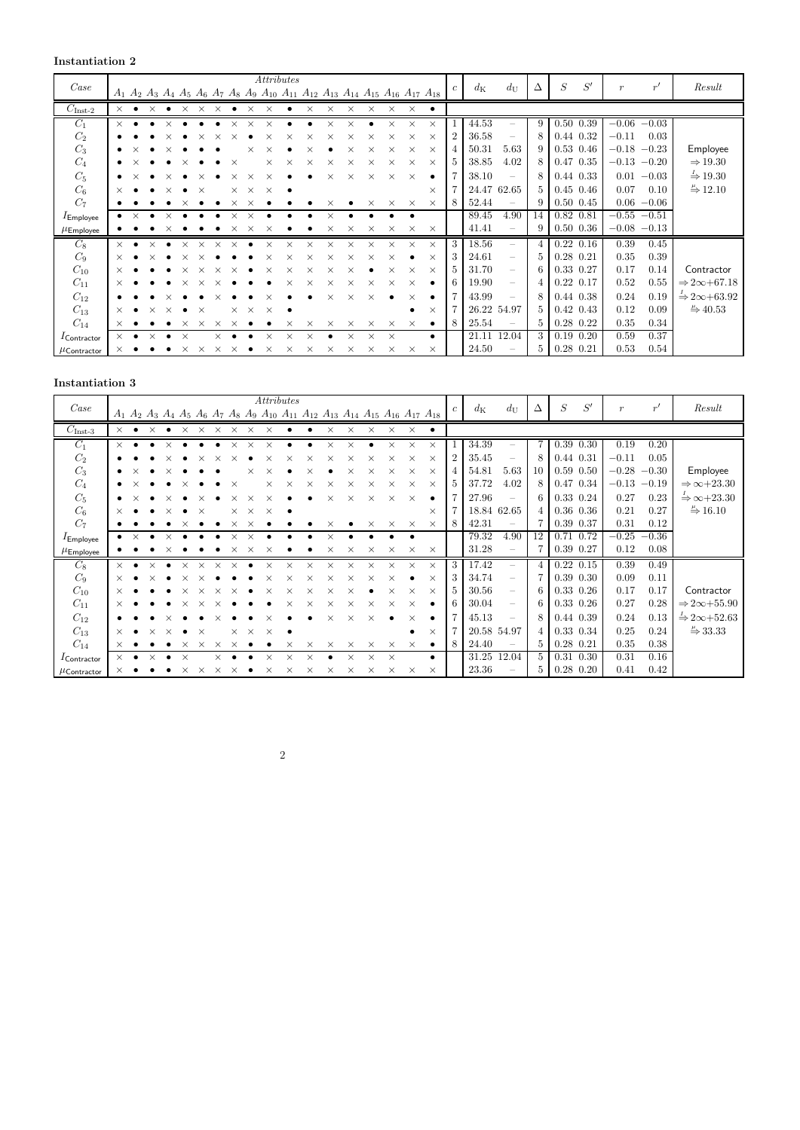## **Instantiation 2**

|                         |                    |                              |                                                                            |          |          |          |          |          |          |          | Attributes |          |          |          |          |          |          |                                                                                                                                        |                |             |                          |              |   | S'              |               |                |                                             |
|-------------------------|--------------------|------------------------------|----------------------------------------------------------------------------|----------|----------|----------|----------|----------|----------|----------|------------|----------|----------|----------|----------|----------|----------|----------------------------------------------------------------------------------------------------------------------------------------|----------------|-------------|--------------------------|--------------|---|-----------------|---------------|----------------|---------------------------------------------|
| Case                    |                    |                              |                                                                            |          |          |          |          |          |          |          |            |          |          |          |          |          |          | $A_1$ $A_2$ $A_3$ $A_4$ $A_5$ $A_6$ $A_7$ $A_8$ $A_9$ $A_{10}$ $A_{11}$ $A_{12}$ $A_{13}$ $A_{14}$ $A_{15}$ $A_{16}$ $A_{17}$ $A_{18}$ |                | $d_{\rm K}$ | $d_{\rm U}$              | $\Delta$     | S |                 | $\mathcal{r}$ | r'             | Result                                      |
| $C_{\rm Inst-2}$        |                    |                              | $\times$ $\bullet$ $\times$ $\bullet$ $\times$ $\times$ $\times$ $\bullet$ |          |          |          |          |          | $\times$ | $\times$ | $\bullet$  | $\times$ | $\times$ | $\times$ | $\times$ | $\times$ | $\times$ | $\bullet$                                                                                                                              |                |             |                          |              |   |                 |               |                |                                             |
| $C_1$                   |                    | $\times$ $\bullet$ $\bullet$ |                                                                            | $\times$ |          |          |          | $\times$ | $\times$ | $\times$ |            |          | $\times$ | $\times$ |          | $\times$ | $\times$ | $\times$                                                                                                                               |                | 44.53       |                          | 9            |   | $0.50$ $0.39$   | $-0.06$       | $-0.03$        |                                             |
| $C_2$                   |                    |                              |                                                                            |          |          |          | $\times$ |          |          | $\times$ |            |          | $\times$ | $\times$ | $\times$ | $\times$ | $\times$ | $\times$                                                                                                                               | 2              | 36.58       |                          |              |   | 0.44 0.32       | $-0.11$       | 0.03           |                                             |
| $C_3$                   | $\bullet$          | $\times$                     |                                                                            | $\times$ |          |          |          |          |          |          |            |          |          |          |          | $\times$ | $\times$ | $\times$                                                                                                                               | 4              | 50.31       | 5.63                     |              |   | $0.53$ 0.46     | $-0.18$       | $-0.23$        | Employee                                    |
| $C_4$                   | $\bullet$          |                              |                                                                            |          |          |          |          | $\times$ |          | $\times$ | $\times$   | $\times$ | $\times$ | $\times$ | $\times$ | X        | $\times$ | $\times$                                                                                                                               | $\overline{5}$ | 38.85       | 4.02                     | 8            |   | $0.47$ $0.35$   |               | $-0.13 - 0.20$ | $\Rightarrow$ 19.30                         |
| $C_5$                   | $\bullet$          | $\times$                     |                                                                            |          |          |          |          | $\times$ | $\times$ |          |            |          | X        | $\times$ | $\times$ | $\times$ | $\times$ |                                                                                                                                        |                | 38.10       | $\overline{\phantom{m}}$ |              |   | 0.44 0.33       | 0.01          | $-0.03$        | $\stackrel{1}{\Rightarrow} 19.30$           |
| $C_6$                   | $\times$           |                              |                                                                            | $\times$ |          | $\times$ |          | $\times$ | $\times$ | $\times$ |            |          |          |          |          |          |          | $\times$                                                                                                                               |                | 24.47       | 62.65                    | $\mathbf{5}$ |   | $0.45$ 0.46     | 0.07          | 0.10           | $\stackrel{\mu}{\Rightarrow}$ 12.10         |
| $C_7$                   |                    |                              |                                                                            |          |          |          |          |          |          |          |            |          | $\times$ |          | $\times$ | $\times$ | $\times$ | $\times$                                                                                                                               | 8              | 52.44       |                          |              |   | $0.50 \ \ 0.45$ |               | $0.06 - 0.06$  |                                             |
| $I$ Employee            |                    | $\bullet$ $\times$           | $\bullet$                                                                  | $\times$ |          |          |          | $\times$ | $\times$ |          |            |          | $\times$ |          |          |          |          |                                                                                                                                        |                | 89.45       | 4.90                     | 14           |   | 0.82 0.81       |               | $-0.55 -0.51$  |                                             |
| $\mu$ Employee          |                    |                              |                                                                            | $\times$ |          |          |          | $\times$ | $\times$ | $\times$ |            |          | $\times$ | $\times$ | $\times$ | $\times$ | $\times$ | $\times$                                                                                                                               |                | 41.41       |                          | -9           |   | $0.50\;0.36$    |               | $-0.08 - 0.13$ |                                             |
| $C_8$                   | $\times$ $\bullet$ |                              | $\times$                                                                   |          |          | $\times$ |          |          |          | $\times$ | $\times$   |          | $\times$ |          | $\times$ | $\times$ | $\times$ | $\times$                                                                                                                               | 3              | 18.56       | $-$                      |              |   | $0.22\ 0.16$    | 0.39          | 0.45           |                                             |
| $C_9$                   | $\times$           |                              | $\times$                                                                   |          |          |          |          |          |          |          |            |          |          |          |          | $\times$ |          | $\times$                                                                                                                               | 3              | 24.61       | $\overline{\phantom{m}}$ |              |   | $0.28$ $0.21$   | $0.35\,$      | 0.39           |                                             |
| $C_{10}$                | $\times$           |                              |                                                                            |          | $\times$ | $\times$ | $\times$ |          |          | $\times$ | $\times$   | ×        | X        | ×        |          | $\times$ | $\times$ | $\times$                                                                                                                               | $\overline{5}$ | 31.70       | $\overline{\phantom{m}}$ |              |   | 0.33 0.27       | 0.17          | 0.14           | Contractor                                  |
| $C_{11}$                | $\times$           |                              |                                                                            |          |          | $\times$ |          |          |          |          |            | $\times$ | $\times$ | $\times$ | $\times$ | $\times$ | $\times$ |                                                                                                                                        | 6              | 19.90       | $\overline{\phantom{m}}$ |              |   | $0.22$ $0.17$   | 0.52          | 0.55           | $\Rightarrow$ 2 $\infty + 67.18$            |
| $C_{12}$                |                    |                              |                                                                            |          |          |          |          |          |          |          |            |          | X        | $\times$ | $\times$ |          | $\times$ |                                                                                                                                        |                | 43.99       |                          |              |   | 0.44 0.38       | 0.24          | 0.19           | $\stackrel{I}{\Rightarrow} 2\infty + 63.92$ |
| $C_{13}$                | $\times$           |                              | $\times$                                                                   | $\times$ |          | $\times$ |          | $\times$ | $\times$ | $\times$ |            |          |          |          |          |          |          | $\times$                                                                                                                               |                |             | 26.22 54.97              | 5.           |   | $0.42\;0.43$    | 0.12          | 0.09           | $\stackrel{\mu}{\Rightarrow} 40.53$         |
| $C_{14}$                |                    |                              |                                                                            |          | $\times$ | $\times$ | $\times$ | $\times$ |          |          | $\times$   | $\times$ | $\times$ | $\times$ | $\times$ | $\times$ | $\times$ |                                                                                                                                        | $8^{\circ}$    | 25.54       |                          | $\mathbf{5}$ |   | $0.28$ 0.22     | 0.35          | 0.34           |                                             |
| $I_{\text{Contractor}}$ |                    | $\times$ $\bullet$           | $\times$                                                                   |          | $\times$ |          |          |          |          |          |            |          |          | $\times$ | $\times$ | $\times$ |          |                                                                                                                                        |                | 21.11       | 12.04                    | 3            |   | $0.19$ $0.20$   | 0.59          | 0.37           |                                             |
| $\mu$ Contractor        | $\times$           |                              |                                                                            |          | ×        | $\times$ | $\times$ | $\times$ |          | X        | X          | $\times$ | $\times$ | $\times$ | $\times$ | $\times$ | $\times$ | $\times$                                                                                                                               |                | 24.50       |                          |              |   | $0.28$ $0.21$   | 0.53          | 0.54           |                                             |

# **Instantiation 3**

|                         |                    |                    |          |          |                                     |          |          |          | Attributes |          |                                                                                                                                        |          |          |          |          |          |           |                |             |                                 |                |             | S'            |                |         |                                             |
|-------------------------|--------------------|--------------------|----------|----------|-------------------------------------|----------|----------|----------|------------|----------|----------------------------------------------------------------------------------------------------------------------------------------|----------|----------|----------|----------|----------|-----------|----------------|-------------|---------------------------------|----------------|-------------|---------------|----------------|---------|---------------------------------------------|
| Case                    |                    |                    |          |          |                                     |          |          |          |            |          | $A_1$ $A_2$ $A_3$ $A_4$ $A_5$ $A_6$ $A_7$ $A_8$ $A_9$ $A_{10}$ $A_{11}$ $A_{12}$ $A_{13}$ $A_{14}$ $A_{15}$ $A_{16}$ $A_{17}$ $A_{18}$ |          |          |          |          |          |           |                | $d_{\rm K}$ | $d_{\rm U}$                     | $\Delta$       | S           |               | $\mathcal{r}$  | r'      | Result                                      |
| $C_{\rm Inst-3}$        | $\times$ $\bullet$ | $\times$ $\bullet$ |          |          | $\times$ $\times$ $\times$ $\times$ |          |          | $\times$ | $\times$   |          |                                                                                                                                        | $\times$ | $\times$ | $\times$ | $\times$ | $\times$ | $\bullet$ |                |             |                                 |                |             |               |                |         |                                             |
| $C_1$                   | $\times$ $\bullet$ | $\bullet$          | $\times$ |          |                                     |          | $\times$ | $\times$ |            |          |                                                                                                                                        | X        |          |          | $\times$ | $\times$ | $\times$  |                | 34.39       |                                 | $\overline{7}$ |             | 0.39 0.30     | 0.19           | 0.20    |                                             |
| $C_2$                   |                    |                    |          |          |                                     |          |          |          |            |          |                                                                                                                                        | ×        |          |          | $\times$ | $\times$ | $\times$  | $\overline{2}$ | 35.45       |                                 | 8              |             | 0.44 0.31     | $-0.11$        | 0.05    |                                             |
| $C_3$                   |                    |                    |          |          |                                     |          |          |          | X          |          |                                                                                                                                        |          | $\times$ | $\times$ | $\times$ | $\times$ | $\times$  | 4              | 54.81       | 5.63                            | 10             |             | $0.59$ $0.50$ | $-0.28 - 0.30$ |         | Employee                                    |
| $C_4$                   |                    |                    |          |          |                                     |          | $\times$ |          | $\times$   | $\times$ | $\times$                                                                                                                               | $\times$ | $\times$ | X        | $\times$ | $\times$ | $\times$  | $\ddot{a}$     | 37.72       | 4.02                            | 8              |             | 0.47 0.34     | $-0.13$        | $-0.19$ | $\Rightarrow \infty + 23.30$                |
| $C_5$                   | $\bullet$          |                    |          |          |                                     |          |          |          |            |          |                                                                                                                                        | X        | $\times$ | $\times$ | $\times$ | $\times$ |           |                | 27.96       | $\overline{\phantom{m}}$        | 6              |             | 0.33 0.24     | 0.27           | 0.23    | $\stackrel{1}{\Rightarrow} \infty + 23.30$  |
| $C_6$                   | $\times$           |                    |          |          | $\times$                            |          | $\times$ | $\times$ |            |          |                                                                                                                                        |          |          |          |          |          | $\times$  |                |             | 18.84 62.65                     | 4              |             | 0.36 0.36     | 0.21           | 0.27    | $\xrightarrow{\mu} 16.10$                   |
| $C_7$                   |                    |                    |          |          |                                     |          | $\times$ | $\times$ |            |          |                                                                                                                                        | $\times$ |          | $\times$ | $\times$ | $\times$ | $\times$  | 8              | 42.31       |                                 |                |             | 0.39 0.37     | 0.31           | 0.12    |                                             |
| $I_{\mathsf{Employee}}$ |                    |                    | $\times$ |          |                                     |          | $\times$ | $\times$ |            |          |                                                                                                                                        | $\times$ |          |          |          |          |           |                | 79.32       | 4.90                            | 12             |             | 0.71 0.72     | $-0.25$        | $-0.36$ |                                             |
| $\mu$ Employee          |                    |                    | $\times$ |          |                                     |          | $\times$ | X        | $\times$   |          |                                                                                                                                        | ×        | $\times$ | $\times$ | $\times$ | $\times$ | $\times$  |                | 31.28       |                                 |                |             | 0.39 0.27     | 0.12           | 0.08    |                                             |
| $C_8$                   | $\times$           | $\times$           |          | $\times$ | $\times$                            |          |          |          | $\times$   | $\times$ | $\times$                                                                                                                               | $\times$ |          | $\times$ | $\times$ | $\times$ | $\times$  | 3              | 17.42       |                                 | 4              |             | $0.22\ 0.15$  | 0.39           | 0.49    |                                             |
| $C_9$                   | $\times$           |                    |          |          |                                     |          |          |          |            |          |                                                                                                                                        |          |          |          |          |          | $\times$  | 3              | 34.74       | $\overline{\phantom{a}}$        |                |             | 0.39 0.30     | 0.09           | 0.11    |                                             |
| $C_{10}$                | $\times$           |                    |          | $\times$ | $\times$                            | $\times$ |          |          | ×          | $\times$ | X                                                                                                                                      | ×        |          |          | $\times$ | $\times$ | $\times$  | $\overline{5}$ | 30.56       | $\overline{\phantom{m}}$        | 6              |             | 0.33 0.26     | 0.17           | 0.17    | Contractor                                  |
| $C_{11}$                | $\times$           |                    |          |          | $\times$                            |          |          |          |            |          |                                                                                                                                        | X        | $\times$ |          | $\times$ | $\times$ |           | 6              | 30.04       | $\hspace{0.1mm}-\hspace{0.1mm}$ |                |             | $0.33$ 0.26   | 0.27           | 0.28    | $\Rightarrow$ 2 $\infty + 55.90$            |
| $C_{12}$                |                    |                    |          |          |                                     |          |          |          |            |          |                                                                                                                                        | ×        |          | ×        |          | ×        |           |                | 45.13       | $\overline{\phantom{a}}$        | 8              |             | 0.44 0.39     | 0.24           | 0.13    | $\stackrel{1}{\Rightarrow} 2\infty + 52.63$ |
| $C_{13}$                | $\times$           | $\times$           | $\times$ |          | $\times$                            |          | $\times$ | $\times$ |            |          |                                                                                                                                        |          |          |          |          |          | $\times$  | 7              | 20.58 54.97 |                                 | 4              |             | 0.33 0.34     | 0.25           | 0.24    | $\xrightarrow{\mu} 33.33$                   |
| $C_{14}$                | $\times$           |                    |          | $\times$ | $\times$                            | $\times$ | $\times$ |          |            | X        | $\times$                                                                                                                               | $\times$ | $\times$ | $\times$ | $\times$ | $\times$ | $\bullet$ | 8              | 24.40       |                                 | 5              | $0.28$ 0.21 |               | 0.35           | 0.38    |                                             |
| $I_{\text{Contractor}}$ | $\times$           |                    |          | $\times$ |                                     |          |          |          |            |          |                                                                                                                                        |          | $\times$ | $\times$ | $\times$ |          |           |                | 31.25       | 12.04                           | $\overline{5}$ |             | $0.31$ $0.30$ | 0.31           | 0.16    |                                             |
| $\mu$ Contractor        | $\times$           |                    |          | $\times$ | $\times$                            | $\times$ |          |          | X          |          | X                                                                                                                                      | ×        | $\times$ | $\times$ | $\times$ | $\times$ | $\times$  |                | 23.36       |                                 | 5              |             | $0.28$ 0.20   | 0.41           | 0.42    |                                             |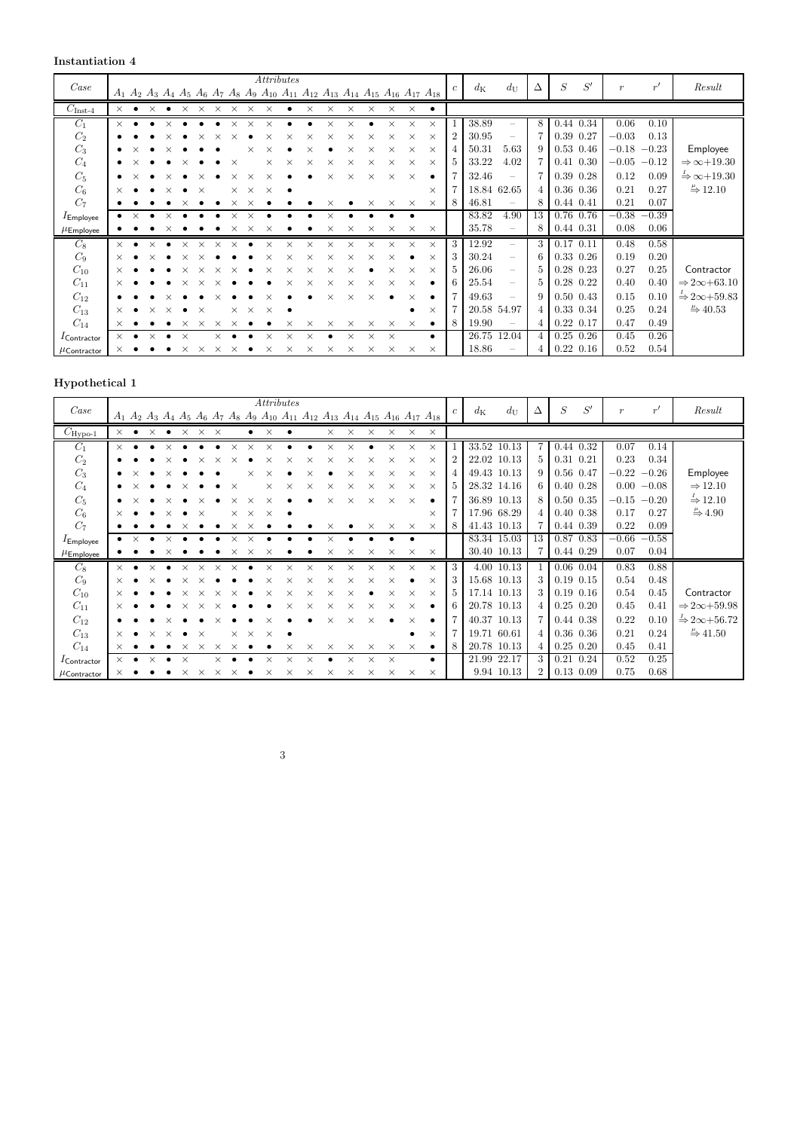## **Instantiation 4**

|                     |           |                        |                                       |          |          |          |          |                                     |          | Attributes |          |          |          |          |          |                                                                                                                                        |          |          |                |             |                          |               |   |               |               |         |                                             |
|---------------------|-----------|------------------------|---------------------------------------|----------|----------|----------|----------|-------------------------------------|----------|------------|----------|----------|----------|----------|----------|----------------------------------------------------------------------------------------------------------------------------------------|----------|----------|----------------|-------------|--------------------------|---------------|---|---------------|---------------|---------|---------------------------------------------|
| Case                |           |                        |                                       |          |          |          |          |                                     |          |            |          |          |          |          |          | $A_1$ $A_2$ $A_3$ $A_4$ $A_5$ $A_6$ $A_7$ $A_8$ $A_9$ $A_{10}$ $A_{11}$ $A_{12}$ $A_{13}$ $A_{14}$ $A_{15}$ $A_{16}$ $A_{17}$ $A_{18}$ |          |          |                | $d_{\rm K}$ | $d_{\rm U}$              | $\Delta$      | S | S'            | $\mathcal{r}$ | r'      | Result                                      |
| $C_{\text{Inst-4}}$ |           |                        | $\times$ $\bullet$ $\times$ $\bullet$ |          |          |          |          | $\times$ $\times$ $\times$ $\times$ | $\times$ | $\times$   |          | $\times$ | $\times$ | $\times$ | $\times$ | $\times$                                                                                                                               | $\times$ |          |                |             |                          |               |   |               |               |         |                                             |
| $C_1$               |           | $\times$ $\bullet$     | $\bullet$                             | $\times$ |          |          |          | $\times$                            | $\times$ | $\times$   |          |          | $\times$ | $\times$ |          | $\times$                                                                                                                               | $\times$ | $\times$ |                | 38.89       |                          | 8             |   | 0.44 0.34     | 0.06          | 0.10    |                                             |
| $C_2$               |           |                        |                                       |          |          |          | $\times$ | $\times$                            |          | X          |          |          | $\times$ | $\times$ | $\times$ | $\times$                                                                                                                               | $\times$ | $\times$ | $\overline{2}$ | 30.95       |                          |               |   | 0.39 0.27     | $-0.03$       | 0.13    |                                             |
| $C_3$               | $\bullet$ | $\times$               |                                       |          |          |          |          |                                     |          |            |          |          |          |          |          |                                                                                                                                        | $\times$ | $\times$ | 4              | 50.31       | 5.63                     |               |   | $0.53$ 0.46   | $-0.18$       | $-0.23$ | Employee                                    |
| $C_4$               | $\bullet$ |                        |                                       |          |          |          |          | $\times$                            |          | $\times$   | $\times$ | $\times$ | $\times$ | $\times$ | $\times$ | X                                                                                                                                      | $\times$ | $\times$ | $5^{\circ}$    | 33.22       | 4.02                     |               |   | $0.41$ $0.30$ | $-0.05$       | $-0.12$ | $\Rightarrow \infty + 19.30$                |
| $C_5$               | $\bullet$ | $\times$               |                                       |          |          |          |          |                                     |          |            |          |          | $\times$ | $\times$ | $\times$ | $\times$                                                                                                                               | $\times$ |          |                | 32.46       |                          |               |   | 0.39 0.28     | 0.12          | 0.09    | $\Rightarrow \infty + 19.30$                |
| $C_6$               | $\times$  |                        |                                       | $\times$ |          | $\times$ |          | $\times$                            | $\times$ | $\times$   |          |          |          |          |          |                                                                                                                                        |          | $\times$ |                |             | 18.84 62.65              |               |   | 0.36 0.36     | 0.21          | 0.27    | $\xrightarrow{\mu} 12.10$                   |
| $C_7$               |           |                        |                                       |          |          |          |          |                                     |          |            |          |          | $\times$ |          | $\times$ | $\times$                                                                                                                               | $\times$ | $\times$ | 8              | 46.81       |                          |               |   | 0.44 0.41     | 0.21          | 0.07    |                                             |
| $I$ Employee        |           | $\bullet \quad \times$ | $\bullet$                             | $\times$ |          |          |          | $\times$                            | $\times$ |            |          |          | $\times$ |          |          |                                                                                                                                        |          |          |                | 83.82       | 4.90                     | 13            |   | 0.76 0.76     | $-0.38$       | $-0.39$ |                                             |
| $\mu$ Employee      |           |                        |                                       | X        |          |          |          | $\times$                            | $\times$ | $\times$   |          |          | $\times$ | $\times$ | $\times$ | $\times$                                                                                                                               | $\times$ | $\times$ |                | 35.78       |                          | 8             |   | 0.44 0.31     | 0.08          | 0.06    |                                             |
| $C_8$               | $\times$  |                        |                                       |          | $\times$ | $\times$ |          |                                     |          | $\times$   |          |          | $\times$ |          | $\times$ | $\times$                                                                                                                               | $\times$ | $\times$ | 3              | 12.92       | $-$                      | $\mathcal{R}$ |   | $0.17$ $0.11$ | 0.48          | 0.58    |                                             |
| $C_9$               | $\times$  |                        | $\times$                              |          |          |          |          |                                     |          |            |          |          |          |          |          |                                                                                                                                        |          | $\times$ | 3              | 30.24       | $\overline{\phantom{m}}$ |               |   | 0.33 0.26     | 0.19          | 0.20    |                                             |
| $C_{10}$            | $\times$  |                        |                                       |          | $\times$ | $\times$ | $\times$ |                                     |          | X          | $\times$ | X        | X        |          |          | $\times$                                                                                                                               | $\times$ | $\times$ | $\overline{5}$ | 26.06       | $\overline{\phantom{m}}$ | 5             |   | $0.28$ 0.23   | 0.27          | 0.25    | Contractor                                  |
| $C_{11}$            | $\times$  |                        |                                       |          |          | $\times$ |          |                                     |          |            |          |          | $\times$ | $\times$ | $\times$ | $\times$                                                                                                                               | $\times$ |          | 6              | 25.54       | $\overline{\phantom{m}}$ |               |   | $0.28$ 0.22   | 0.40          | 0.40    | $\Rightarrow$ 2 $\infty + 63.10$            |
| $C_{12}$            |           |                        |                                       |          |          |          |          |                                     |          |            |          |          | X        | $\times$ | $\times$ |                                                                                                                                        | $\times$ |          |                | 49.63       |                          |               |   | 0.50 0.43     | $0.15\,$      | 0.10    | $\stackrel{1}{\Rightarrow} 2\infty + 59.83$ |
| $C_{13}$            | $\times$  |                        | $\times$                              | $\times$ |          | $\times$ |          | $\times$                            | $\times$ | X          |          |          |          |          |          |                                                                                                                                        |          | $\times$ |                |             | 20.58 54.97              |               |   | 0.33 0.34     | 0.25          | 0.24    | $\stackrel{\mu}{\Rightarrow} 40.53$         |
| $C_{14}$            |           |                        |                                       |          | $\times$ | $\times$ | $\times$ | $\times$                            |          |            | $\times$ | $\times$ | $\times$ | $\times$ | $\times$ | $\times$                                                                                                                               | $\times$ |          | $8^{\circ}$    | 19.90       |                          |               |   | $0.22$ 0.17   | 0.47          | 0.49    |                                             |
| $I$ Contractor      |           | $\times$ $\bullet$     | $\times$                              |          | $\times$ |          |          |                                     |          |            |          |          |          | $\times$ | $\times$ | $\times$                                                                                                                               |          |          |                |             | 26.75 12.04              |               |   | $0.25$ 0.26   | 0.45          | 0.26    |                                             |
| $\mu$ Contractor    | $\times$  |                        |                                       |          | $\times$ | $\times$ | $\times$ | $\times$                            |          | $\times$   | $\times$ | $\times$ | $\times$ | $\times$ | $\times$ | $\times$                                                                                                                               | $\times$ | $\times$ |                | 18.86       |                          |               |   | $0.22\;0.16$  | 0.52          | 0.54    |                                             |

# **Hypothetical 1**

|                         |           |                    |                                                                  |          |          |                   |          |          |           |          | Attributes |          |          |          |          |          |              |                                                                                                                                        |                |             |             |          |   | S'            |                  |               |                                             |
|-------------------------|-----------|--------------------|------------------------------------------------------------------|----------|----------|-------------------|----------|----------|-----------|----------|------------|----------|----------|----------|----------|----------|--------------|----------------------------------------------------------------------------------------------------------------------------------------|----------------|-------------|-------------|----------|---|---------------|------------------|---------------|---------------------------------------------|
| Case                    |           |                    |                                                                  |          |          |                   |          |          |           |          |            |          |          |          |          |          |              | $A_1$ $A_2$ $A_3$ $A_4$ $A_5$ $A_6$ $A_7$ $A_8$ $A_9$ $A_{10}$ $A_{11}$ $A_{12}$ $A_{13}$ $A_{14}$ $A_{15}$ $A_{16}$ $A_{17}$ $A_{18}$ |                | $d_{\rm K}$ | $d_{\rm U}$ | $\Delta$ | S |               | $\boldsymbol{r}$ | r'            | Result                                      |
| $C_{\text{Hypo-1}}$     |           |                    | $\times$ $\bullet$ $\times$ $\bullet$ $\times$ $\times$ $\times$ |          |          |                   |          |          | $\bullet$ | $\times$ |            |          | $\times$ | $\times$ | $\times$ | $\times$ | $\mathsf{X}$ | $\times$                                                                                                                               |                |             |             |          |   |               |                  |               |                                             |
| $C_1$                   |           | $\times$ $\bullet$ |                                                                  | $\times$ |          |                   |          | $\times$ | $\times$  | $\times$ |            |          | $\times$ | $\times$ |          | $\times$ | $\times$     | $\times$                                                                                                                               |                |             | 33.52 10.13 |          |   | 0.44 0.32     | 0.07             | 0.14          |                                             |
| $C_2$                   |           |                    |                                                                  |          |          |                   | $\times$ |          |           |          |            |          | $\times$ | $\times$ | $\times$ | $\times$ | $\times$     | $\times$                                                                                                                               | $\overline{2}$ |             | 22.02 10.13 |          |   | $0.31$ $0.21$ | 0.23             | 0.34          |                                             |
| $C_3$                   | $\bullet$ | $\times$           |                                                                  | $\times$ |          |                   |          |          |           |          |            |          |          |          |          | $\times$ | $\times$     | $\times$                                                                                                                               | 4              |             | 49.43 10.13 |          |   | $0.56$ 0.47   | $-0.22$          | $-0.26$       | Employee                                    |
| $C_4$                   | $\bullet$ |                    |                                                                  |          |          |                   |          | $\times$ |           | $\times$ | $\times$   | $\times$ | $\times$ | $\times$ | $\times$ | $\times$ | $\times$     | $\times$                                                                                                                               | $\overline{5}$ |             | 28.32 14.16 |          |   | $0.40\;0.28$  |                  | $0.00 - 0.08$ | $\Rightarrow$ 12.10                         |
| $C_5$                   | $\bullet$ | $\times$           |                                                                  |          |          |                   |          |          | $\times$  |          |            |          | X        | $\times$ | $\times$ | $\times$ | $\times$     |                                                                                                                                        |                |             | 36.89 10.13 |          |   | $0.50$ $0.35$ | $-0.15$          | $-0.20$       | $\stackrel{1}{\Rightarrow} 12.10$           |
| $C_6$                   | $\times$  |                    |                                                                  | $\times$ |          | $\times$          |          | $\times$ | $\times$  |          |            |          |          |          |          |          |              | $\times$                                                                                                                               |                |             | 17.96 68.29 |          |   | 0.40 0.38     | 0.17             | 0.27          | $\xrightarrow{\mu} 4.90$                    |
| $C_7$                   |           |                    |                                                                  |          |          |                   |          |          |           |          |            |          | ×        |          | $\times$ | $\times$ | $\times$     | $\times$                                                                                                                               | 8              |             | 41.43 10.13 |          |   | 0.44 0.39     | 0.22             | 0.09          |                                             |
| $I$ Employee            |           |                    |                                                                  | $\times$ |          |                   |          | $\times$ | $\times$  |          |            |          | $\times$ |          |          |          |              |                                                                                                                                        |                |             | 83.34 15.03 | 13       |   | 0.87 0.83     | $-0.66$          | $-0.58$       |                                             |
| $\mu$ Employee          |           |                    |                                                                  | $\times$ |          |                   |          | $\times$ | $\times$  | $\times$ |            |          | ×        | $\times$ | $\times$ | $\times$ | $\times$     | $\times$                                                                                                                               |                |             | 30.40 10.13 |          |   | 0.44 0.29     | 0.07             | 0.04          |                                             |
| $C_8$                   |           | $\times$ $\bullet$ | $\times$                                                         |          |          | $\times$ $\times$ | $\times$ | $\times$ |           | $\times$ |            |          | $\times$ |          | $\times$ | $\times$ | $\times$     | $\times$                                                                                                                               | 3              |             | 4.00 10.13  |          |   | $0.06$ 0.04   | 0.83             | 0.88          |                                             |
| $C_9$                   | $\times$  |                    | $\times$                                                         |          |          |                   |          |          |           |          |            |          |          |          |          |          |              | $\times$                                                                                                                               | 3              |             | 15.68 10.13 |          |   | $0.19$ $0.15$ | 0.54             | 0.48          |                                             |
| $C_{10}$                | $\times$  |                    |                                                                  |          | $\times$ | $\times$          | $\times$ |          |           | $\times$ | $\times$   | $\times$ | X        | $\times$ |          | $\times$ | $\times$     | $\times$                                                                                                                               | $\frac{5}{2}$  |             | 17.14 10.13 |          |   | $0.19$ $0.16$ | 0.54             | 0.45          | Contractor                                  |
| $C_{11}$                | $\times$  |                    |                                                                  |          |          |                   |          |          |           |          |            |          | ×        |          | X        | $\times$ | $\times$     |                                                                                                                                        | h              |             | 20.78 10.13 |          |   | $0.25$ 0.20   | 0.45             | 0.41          | $\Rightarrow$ 2 $\infty$ +59.98             |
| $C_{12}$                |           |                    |                                                                  |          |          |                   |          |          |           |          |            |          | X        | $\times$ | $\times$ |          | $\times$     |                                                                                                                                        |                |             | 40.37 10.13 |          |   | 0.44 0.38     | 0.22             | 0.10          | $\stackrel{1}{\Rightarrow} 2\infty + 56.72$ |
| $C_{13}$                | $\times$  |                    | $\times$                                                         | $\times$ |          | $\times$          |          | $\times$ | $\times$  |          |            |          |          |          |          |          |              | $\times$                                                                                                                               |                |             | 19.71 60.61 |          |   | $0.36$ 0.36   | 0.21             | 0.24          | $\xrightarrow{\mu} 41.50$                   |
| $C_{14}$                |           |                    |                                                                  |          | $\times$ | $\times$          | $\times$ | $\times$ |           |          | X          | $\times$ | $\times$ | $\times$ | $\times$ | $\times$ | $\times$     | $\bullet$                                                                                                                              | $8^{\circ}$    |             | 20.78 10.13 |          |   | $0.25$ 0.20   | 0.45             | 0.41          |                                             |
| $I_{\text{Contractor}}$ |           |                    | $\times$                                                         |          | $\times$ |                   |          |          |           |          |            |          |          |          |          |          |              |                                                                                                                                        |                |             | 21.99 22.17 |          |   | $0.21$ $0.24$ | 0.52             | 0.25          |                                             |
| $\mu$ Contractor        | $\times$  |                    |                                                                  |          | $\times$ | $\times$          | $\times$ |          |           | $\times$ | X          | X        | $\times$ | $\times$ | $\times$ | $\times$ | $\times$     | $\times$                                                                                                                               |                |             | 9.94 10.13  |          |   | $0.13$ 0.09   | 0.75             | 0.68          |                                             |